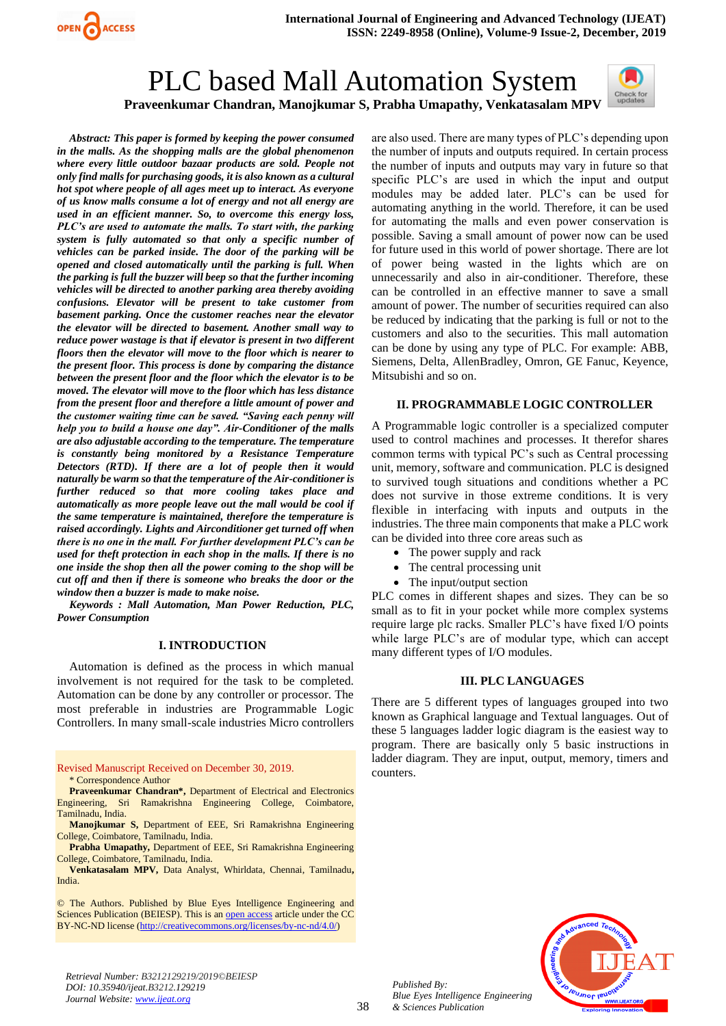

# PLC based Mall Automation System



*Abstract: This paper is formed by keeping the power consumed in the malls. As the shopping malls are the global phenomenon where every little outdoor bazaar products are sold. People not only find malls for purchasing goods, it is also known as a cultural hot spot where people of all ages meet up to interact. As everyone of us know malls consume a lot of energy and not all energy are used in an efficient manner. So, to overcome this energy loss, PLC's are used to automate the malls. To start with, the parking system is fully automated so that only a specific number of vehicles can be parked inside. The door of the parking will be opened and closed automatically until the parking is full. When the parking is full the buzzer will beep so that the further incoming vehicles will be directed to another parking area thereby avoiding confusions. Elevator will be present to take customer from basement parking. Once the customer reaches near the elevator the elevator will be directed to basement. Another small way to reduce power wastage is that if elevator is present in two different floors then the elevator will move to the floor which is nearer to the present floor. This process is done by comparing the distance between the present floor and the floor which the elevator is to be moved. The elevator will move to the floor which has less distance from the present floor and therefore a little amount of power and the customer waiting time can be saved. "Saving each penny will help you to build a house one day". Air-Conditioner of the malls are also adjustable according to the temperature. The temperature is constantly being monitored by a Resistance Temperature Detectors (RTD). If there are a lot of people then it would naturally be warm so that the temperature of the Air-conditioner is further reduced so that more cooling takes place and automatically as more people leave out the mall would be cool if the same temperature is maintained, therefore the temperature is raised accordingly. Lights and Airconditioner get turned off when there is no one in the mall. For further development PLC's can be used for theft protection in each shop in the malls. If there is no one inside the shop then all the power coming to the shop will be cut off and then if there is someone who breaks the door or the window then a buzzer is made to make noise.*

*Keywords : Mall Automation, Man Power Reduction, PLC, Power Consumption* 

### **I. INTRODUCTION**

Automation is defined as the process in which manual involvement is not required for the task to be completed. Automation can be done by any controller or processor. The most preferable in industries are Programmable Logic Controllers. In many small-scale industries Micro controllers

Revised Manuscript Received on December 30, 2019. \* Correspondence Author

**Praveenkumar Chandran\*,** Department of Electrical and Electronics Engineering, Sri Ramakrishna Engineering College, Coimbatore, Tamilnadu, India.

**Manojkumar S,** Department of EEE, Sri Ramakrishna Engineering College, Coimbatore, Tamilnadu, India.

**Prabha Umapathy,** Department of EEE, Sri Ramakrishna Engineering College, Coimbatore, Tamilnadu, India.

**Venkatasalam MPV,** Data Analyst, Whirldata, Chennai, Tamilnadu**,**  India.

© The Authors. Published by Blue Eyes Intelligence Engineering and Sciences Publication (BEIESP). This is a[n open access](https://www.openaccess.nl/en/open-publications) article under the CC BY-NC-ND license [\(http://creativecommons.org/licenses/by-nc-nd/4.0/\)](http://creativecommons.org/licenses/by-nc-nd/4.0/)

are also used. There are many types of PLC's depending upon the number of inputs and outputs required. In certain process the number of inputs and outputs may vary in future so that specific PLC's are used in which the input and output modules may be added later. PLC's can be used for automating anything in the world. Therefore, it can be used for automating the malls and even power conservation is possible. Saving a small amount of power now can be used for future used in this world of power shortage. There are lot of power being wasted in the lights which are on unnecessarily and also in air-conditioner. Therefore, these can be controlled in an effective manner to save a small amount of power. The number of securities required can also be reduced by indicating that the parking is full or not to the customers and also to the securities. This mall automation can be done by using any type of PLC. For example: ABB, Siemens, Delta, AllenBradley, Omron, GE Fanuc, Keyence, Mitsubishi and so on.

### **II. PROGRAMMABLE LOGIC CONTROLLER**

A Programmable logic controller is a specialized computer used to control machines and processes. It therefor shares common terms with typical PC's such as Central processing unit, memory, software and communication. PLC is designed to survived tough situations and conditions whether a PC does not survive in those extreme conditions. It is very flexible in interfacing with inputs and outputs in the industries. The three main components that make a PLC work can be divided into three core areas such as

- The power supply and rack
- The central processing unit
- The input/output section

PLC comes in different shapes and sizes. They can be so small as to fit in your pocket while more complex systems require large plc racks. Smaller PLC's have fixed I/O points while large PLC's are of modular type, which can accept many different types of I/O modules.

#### **III. PLC LANGUAGES**

There are 5 different types of languages grouped into two known as Graphical language and Textual languages. Out of these 5 languages ladder logic diagram is the easiest way to program. There are basically only 5 basic instructions in ladder diagram. They are input, output, memory, timers and counters.



*Retrieval Number: B3212129219/2019©BEIESP DOI: 10.35940/ijeat.B3212.129219 Journal Website: [www.ijeat.org](http://www.ijeat.org/)*

*Published By: Blue Eyes Intelligence Engineering & Sciences Publication*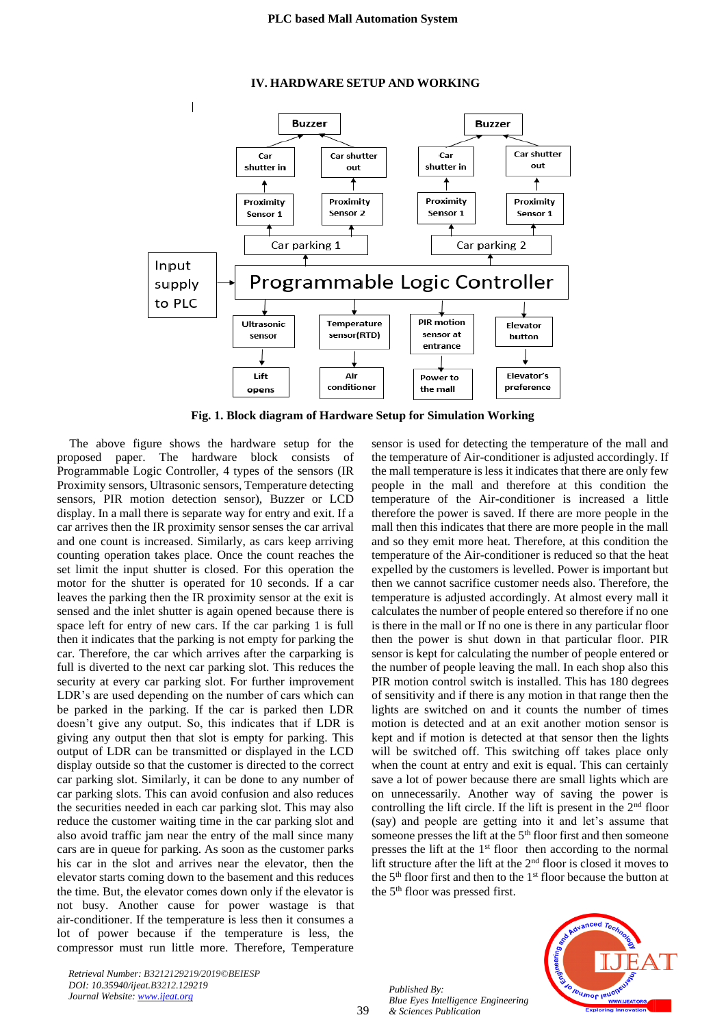### **IV. HARDWARE SETUP AND WORKING**



**Fig. 1. Block diagram of Hardware Setup for Simulation Working**

The above figure shows the hardware setup for the proposed paper. The hardware block consists of Programmable Logic Controller, 4 types of the sensors (IR Proximity sensors, Ultrasonic sensors, Temperature detecting sensors, PIR motion detection sensor), Buzzer or LCD display. In a mall there is separate way for entry and exit. If a car arrives then the IR proximity sensor senses the car arrival and one count is increased. Similarly, as cars keep arriving counting operation takes place. Once the count reaches the set limit the input shutter is closed. For this operation the motor for the shutter is operated for 10 seconds. If a car leaves the parking then the IR proximity sensor at the exit is sensed and the inlet shutter is again opened because there is space left for entry of new cars. If the car parking 1 is full then it indicates that the parking is not empty for parking the car. Therefore, the car which arrives after the carparking is full is diverted to the next car parking slot. This reduces the security at every car parking slot. For further improvement LDR's are used depending on the number of cars which can be parked in the parking. If the car is parked then LDR doesn't give any output. So, this indicates that if LDR is giving any output then that slot is empty for parking. This output of LDR can be transmitted or displayed in the LCD display outside so that the customer is directed to the correct car parking slot. Similarly, it can be done to any number of car parking slots. This can avoid confusion and also reduces the securities needed in each car parking slot. This may also reduce the customer waiting time in the car parking slot and also avoid traffic jam near the entry of the mall since many cars are in queue for parking. As soon as the customer parks his car in the slot and arrives near the elevator, then the elevator starts coming down to the basement and this reduces the time. But, the elevator comes down only if the elevator is not busy. Another cause for power wastage is that air-conditioner. If the temperature is less then it consumes a lot of power because if the temperature is less, the compressor must run little more. Therefore, Temperature

sensor is used for detecting the temperature of the mall and the temperature of Air-conditioner is adjusted accordingly. If the mall temperature is less it indicates that there are only few people in the mall and therefore at this condition the temperature of the Air-conditioner is increased a little therefore the power is saved. If there are more people in the mall then this indicates that there are more people in the mall and so they emit more heat. Therefore, at this condition the temperature of the Air-conditioner is reduced so that the heat expelled by the customers is levelled. Power is important but then we cannot sacrifice customer needs also. Therefore, the temperature is adjusted accordingly. At almost every mall it calculates the number of people entered so therefore if no one is there in the mall or If no one is there in any particular floor then the power is shut down in that particular floor. PIR sensor is kept for calculating the number of people entered or the number of people leaving the mall. In each shop also this PIR motion control switch is installed. This has 180 degrees of sensitivity and if there is any motion in that range then the lights are switched on and it counts the number of times motion is detected and at an exit another motion sensor is kept and if motion is detected at that sensor then the lights will be switched off. This switching off takes place only when the count at entry and exit is equal. This can certainly save a lot of power because there are small lights which are on unnecessarily. Another way of saving the power is controlling the lift circle. If the lift is present in the  $2<sup>nd</sup>$  floor (say) and people are getting into it and let's assume that someone presses the lift at the 5<sup>th</sup> floor first and then someone presses the lift at the  $1<sup>st</sup>$  floor then according to the normal lift structure after the lift at the  $2<sup>nd</sup>$  floor is closed it moves to the  $5<sup>th</sup>$  floor first and then to the  $1<sup>st</sup>$  floor because the button at the 5<sup>th</sup> floor was pressed first.



*Published By: Blue Eyes Intelligence Engineering & Sciences Publication* 

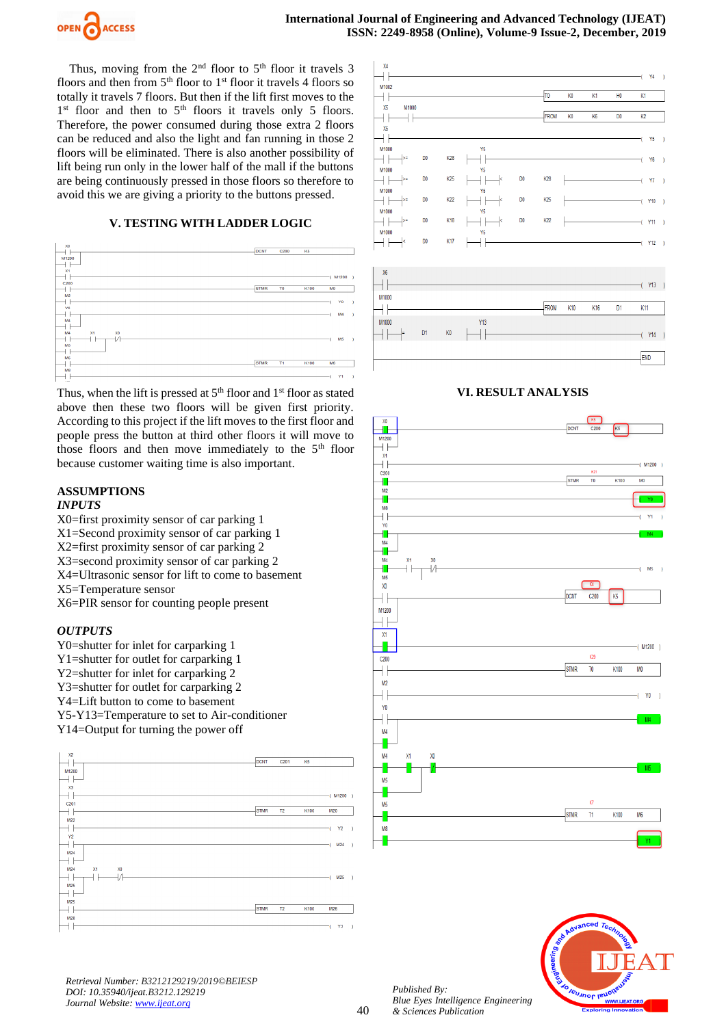

Thus, moving from the  $2<sup>nd</sup>$  floor to  $5<sup>th</sup>$  floor it travels 3 floors and then from  $5<sup>th</sup>$  floor to  $1<sup>st</sup>$  floor it travels 4 floors so totally it travels 7 floors. But then if the lift first moves to the 1<sup>st</sup> floor and then to 5<sup>th</sup> floors it travels only 5 floors. Therefore, the power consumed during those extra 2 floors can be reduced and also the light and fan running in those 2 floors will be eliminated. There is also another possibility of lift being run only in the lower half of the mall if the buttons are being continuously pressed in those floors so therefore to avoid this we are giving a priority to the buttons pressed.

## **V. TESTING WITH LADDER LOGIC**



Thus, when the lift is pressed at  $5<sup>th</sup>$  floor and  $1<sup>st</sup>$  floor as stated above then these two floors will be given first priority. According to this project if the lift moves to the first floor and people press the button at third other floors it will move to those floors and then move immediately to the  $5<sup>th</sup>$  floor because customer waiting time is also important.

# **ASSUMPTIONS**

## *INPUTS*

X0=first proximity sensor of car parking 1 X1=Second proximity sensor of car parking 1 X2=first proximity sensor of car parking 2 X3=second proximity sensor of car parking 2 X4=Ultrasonic sensor for lift to come to basement X5=Temperature sensor X6=PIR sensor for counting people present

## *OUTPUTS*

Y0=shutter for inlet for carparking 1 Y1=shutter for outlet for carparking 1 Y2=shutter for inlet for carparking 2 Y3=shutter for outlet for carparking 2 Y4=Lift button to come to basement Y5-Y13=Temperature to set to Air-conditioner Y14=Output for turning the power off





## **VI. RESULT ANALYSIS**





*Retrieval Number: B3212129219/2019©BEIESP DOI: 10.35940/ijeat.B3212.129219 Journal Website: [www.ijeat.org](http://www.ijeat.org/)*

*Published By: Blue Eyes Intelligence Engineering & Sciences Publication*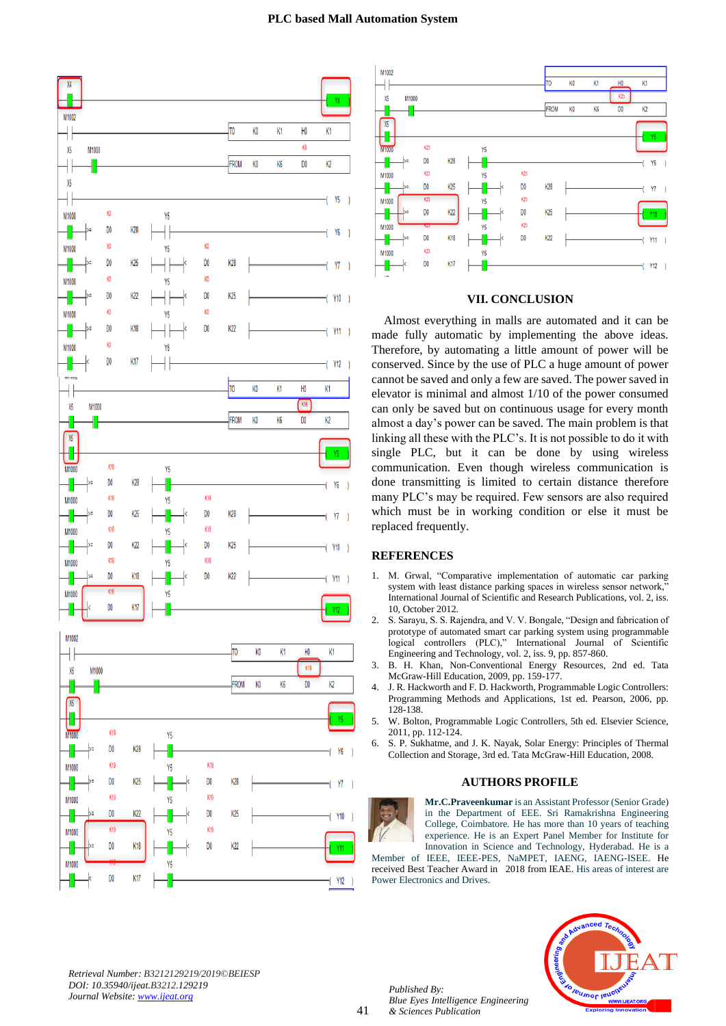



## **VII. CONCLUSION**

Almost everything in malls are automated and it can be made fully automatic by implementing the above ideas. Therefore, by automating a little amount of power will be conserved. Since by the use of PLC a huge amount of power cannot be saved and only a few are saved. The power saved in elevator is minimal and almost 1/10 of the power consumed can only be saved but on continuous usage for every month almost a day's power can be saved. The main problem is that linking all these with the PLC's. It is not possible to do it with single PLC, but it can be done by using wireless communication. Even though wireless communication is done transmitting is limited to certain distance therefore many PLC's may be required. Few sensors are also required which must be in working condition or else it must be replaced frequently.

## **REFERENCES**

- 1. M. Grwal, "Comparative implementation of automatic car parking system with least distance parking spaces in wireless sensor network," International Journal of Scientific and Research Publications, vol. 2, iss. 10, October 2012.
- 2. S. Sarayu, S. S. Rajendra, and V. V. Bongale, "Design and fabrication of prototype of automated smart car parking system using programmable logical controllers (PLC)," International Journal of Scientific Engineering and Technology, vol. 2, iss. 9, pp. 857-860.
- 3. B. H. Khan, Non-Conventional Energy Resources, 2nd ed. Tata McGraw-Hill Education, 2009, pp. 159-177.
- 4. J. R. Hackworth and F. D. Hackworth, Programmable Logic Controllers: Programming Methods and Applications, 1st ed. Pearson, 2006, pp. 128-138.
- 5. W. Bolton, Programmable Logic Controllers, 5th ed. Elsevier Science, 2011, pp. 112-124.
- 6. S. P. Sukhatme, and J. K. Nayak, Solar Energy: Principles of Thermal Collection and Storage, 3rd ed. Tata McGraw-Hill Education, 2008.

#### **AUTHORS PROFILE**



**Mr.C.Praveenkumar** is an Assistant Professor (Senior Grade) in the Department of EEE. Sri Ramakrishna Engineering College, Coimbatore. He has more than 10 years of teaching experience. He is an Expert Panel Member for Institute for Innovation in Science and Technology, Hyderabad. He is a

Member of IEEE, IEEE-PES, NaMPET, IAENG, IAENG-ISEE. He received Best Teacher Award in 2018 from IEAE. His areas of interest are Power Electronics and Drives.



*Retrieval Number: B3212129219/2019©BEIESP DOI: 10.35940/ijeat.B3212.129219 Journal Website[: www.ijeat.org](http://www.ijeat.org/)*

*Published By:*

*& Sciences Publication* 

*Blue Eyes Intelligence Engineering*